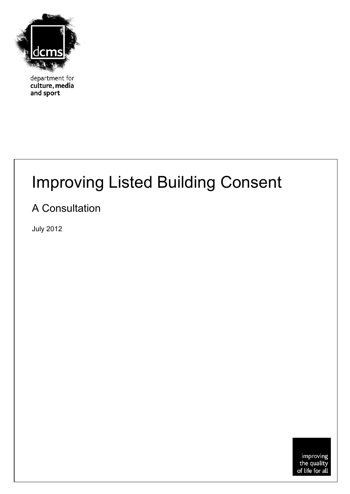

department for culture, media and sport

# Improving Listed Building Consent

### A Consultation

<span id="page-0-0"></span>July 2012

improving<br>the quality<br>of life for all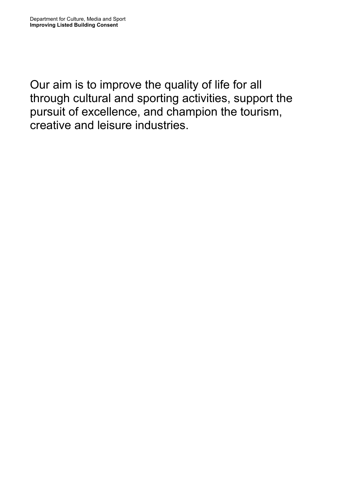Our aim is to improve the quality of life for all through cultural and sporting activities, support the pursuit of excellence, and champion the tourism, creative and leisure industries.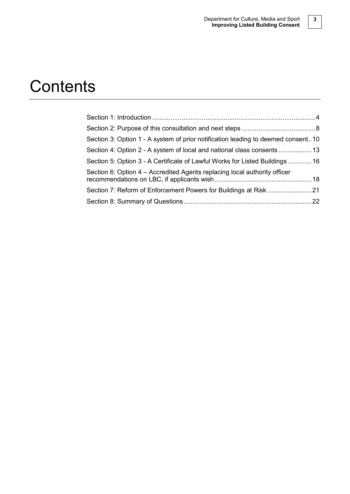## **Contents**

| Section 3: Option 1 - A system of prior notification leading to deemed consent10 |  |
|----------------------------------------------------------------------------------|--|
| Section 4: Option 2 - A system of local and national class consents  13          |  |
| Section 5: Option 3 - A Certificate of Lawful Works for Listed Buildings16       |  |
| Section 6: Option 4 – Accredited Agents replacing local authority officer        |  |
| Section 7: Reform of Enforcement Powers for Buildings at Risk 21                 |  |
|                                                                                  |  |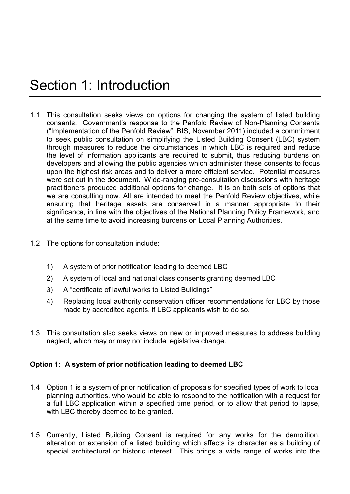### Section 1: Introduction

- 1.1 This consultation seeks views on options for changing the system of listed building consents. Government's response to the Penfold Review of Non-Planning Consents ("Implementation of the Penfold Review", BIS, November 2011) included a commitment to seek public consultation on simplifying the Listed Building Consent (LBC) system through measures to reduce the circumstances in which LBC is required and reduce the level of information applicants are required to submit, thus reducing burdens on developers and allowing the public agencies which administer these consents to focus upon the highest risk areas and to deliver a more efficient service. Potential measures were set out in the document. Wide-ranging pre-consultation discussions with heritage practitioners produced additional options for change. It is on both sets of options that we are consulting now. All are intended to meet the Penfold Review objectives, while ensuring that heritage assets are conserved in a manner appropriate to their significance, in line with the objectives of the National Planning Policy Framework, and at the same time to avoid increasing burdens on Local Planning Authorities.
- 1.2 The options for consultation include:
	- 1) A system of prior notification leading to deemed LBC
	- 2) A system of local and national class consents granting deemed LBC
	- 3) A "certificate of lawful works to Listed Buildings"
	- 4) Replacing local authority conservation officer recommendations for LBC by those made by accredited agents, if LBC applicants wish to do so.
- 1.3 This consultation also seeks views on new or improved measures to address building neglect, which may or may not include legislative change.

#### **Option 1: A system of prior notification leading to deemed LBC**

- 1.4 Option 1 is a system of prior notification of proposals for specified types of work to local planning authorities, who would be able to respond to the notification with a request for a full LBC application within a specified time period, or to allow that period to lapse, with LBC thereby deemed to be granted.
- 1.5 Currently, Listed Building Consent is required for any works for the demolition, alteration or extension of a listed building which affects its character as a building of special architectural or historic interest. This brings a wide range of works into the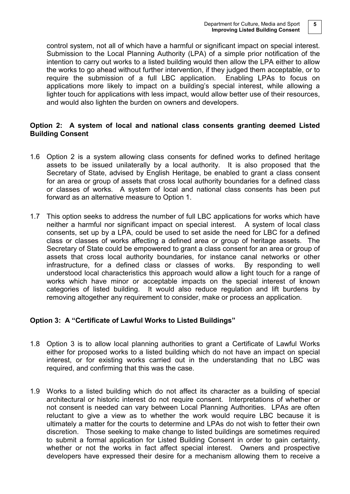control system, not all of which have a harmful or significant impact on special interest. Submission to the Local Planning Authority (LPA) of a simple prior notification of the intention to carry out works to a listed building would then allow the LPA either to allow the works to go ahead without further intervention, if they judged them acceptable, or to require the submission of a full LBC application. Enabling LPAs to focus on applications more likely to impact on a building's special interest, while allowing a lighter touch for applications with less impact, would allow better use of their resources, and would also lighten the burden on owners and developers.

#### **Option 2: A system of local and national class consents granting deemed Listed Building Consent**

- 1.6 Option 2 is a system allowing class consents for defined works to defined heritage assets to be issued unilaterally by a local authority. It is also proposed that the Secretary of State, advised by English Heritage, be enabled to grant a class consent for an area or group of assets that cross local authority boundaries for a defined class or classes of works. A system of local and national class consents has been put forward as an alternative measure to Option 1.
- 1.7 This option seeks to address the number of full LBC applications for works which have neither a harmful nor significant impact on special interest. A system of local class consents, set up by a LPA, could be used to set aside the need for LBC for a defined class or classes of works affecting a defined area or group of heritage assets. The Secretary of State could be empowered to grant a class consent for an area or group of assets that cross local authority boundaries, for instance canal networks or other infrastructure, for a defined class or classes of works. By responding to well understood local characteristics this approach would allow a light touch for a range of works which have minor or acceptable impacts on the special interest of known categories of listed building. It would also reduce regulation and lift burdens by removing altogether any requirement to consider, make or process an application.

#### **Option 3: A "Certificate of Lawful Works to Listed Buildings"**

- 1.8 Option 3 is to allow local planning authorities to grant a Certificate of Lawful Works either for proposed works to a listed building which do not have an impact on special interest, or for existing works carried out in the understanding that no LBC was required, and confirming that this was the case.
- 1.9 Works to a listed building which do not affect its character as a building of special architectural or historic interest do not require consent. Interpretations of whether or not consent is needed can vary between Local Planning Authorities. LPAs are often reluctant to give a view as to whether the work would require LBC because it is ultimately a matter for the courts to determine and LPAs do not wish to fetter their own discretion. Those seeking to make change to listed buildings are sometimes required to submit a formal application for Listed Building Consent in order to gain certainty, whether or not the works in fact affect special interest. Owners and prospective developers have expressed their desire for a mechanism allowing them to receive a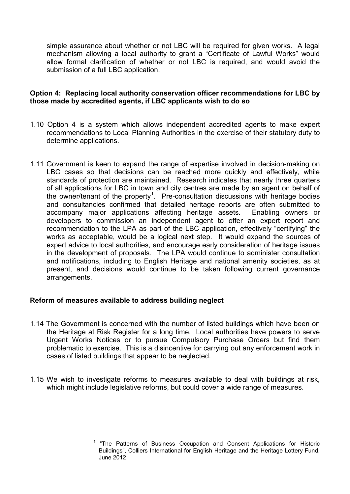simple assurance about whether or not LBC will be required for given works. A legal mechanism allowing a local authority to grant a "Certificate of Lawful Works" would allow formal clarification of whether or not LBC is required, and would avoid the submission of a full LBC application.

#### **Option 4: Replacing local authority conservation officer recommendations for LBC by those made by accredited agents, if LBC applicants wish to do so**

- 1.10 Option 4 is a system which allows independent accredited agents to make expert recommendations to Local Planning Authorities in the exercise of their statutory duty to determine applications.
- 1.11 Government is keen to expand the range of expertise involved in decision-making on LBC cases so that decisions can be reached more quickly and effectively, while standards of protection are maintained. Research indicates that nearly three quarters of all applications for LBC in town and city centres are made by an agent on behalf of the owner/tenant of the property<sup>[1](#page-0-0)</sup>. Pre-consultation discussions with heritage bodies and consultancies confirmed that detailed heritage reports are often submitted to accompany major applications affecting heritage assets. Enabling owners or developers to commission an independent agent to offer an expert report and recommendation to the LPA as part of the LBC application, effectively "certifying" the works as acceptable, would be a logical next step. It would expand the sources of expert advice to local authorities, and encourage early consideration of heritage issues in the development of proposals. The LPA would continue to administer consultation and notifications, including to English Heritage and national amenity societies, as at present, and decisions would continue to be taken following current governance arrangements.

#### **Reform of measures available to address building neglect**

- 1.14 The Government is concerned with the number of listed buildings which have been on the Heritage at Risk Register for a long time. Local authorities have powers to serve Urgent Works Notices or to pursue Compulsory Purchase Orders but find them problematic to exercise. This is a disincentive for carrying out any enforcement work in cases of listed buildings that appear to be neglected.
- <span id="page-5-0"></span>1.15 We wish to investigate reforms to measures available to deal with buildings at risk, which might include legislative reforms, but could cover a wide range of measures.

<sup>&</sup>quot;The Patterns of Business Occupation and Consent Applications for Historic Buildings", Colliers International for English Heritage and the Heritage Lottery Fund, June 2012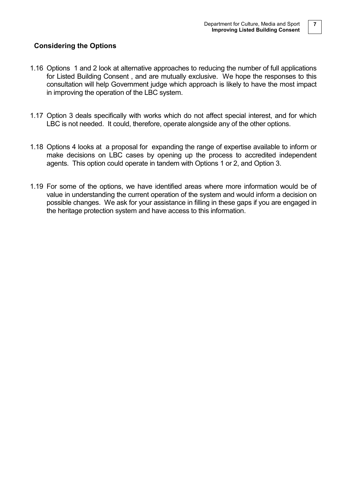#### **Considering the Options**

- 1.16 Options 1 and 2 look at alternative approaches to reducing the number of full applications for Listed Building Consent , and are mutually exclusive. We hope the responses to this consultation will help Government judge which approach is likely to have the most impact in improving the operation of the LBC system.
- 1.17 Option 3 deals specifically with works which do not affect special interest, and for which LBC is not needed. It could, therefore, operate alongside any of the other options.
- 1.18 Options 4 looks at a proposal for expanding the range of expertise available to inform or make decisions on LBC cases by opening up the process to accredited independent agents. This option could operate in tandem with Options 1 or 2, and Option 3.
- 1.19 For some of the options, we have identified areas where more information would be of value in understanding the current operation of the system and would inform a decision on possible changes. We ask for your assistance in filling in these gaps if you are engaged in the heritage protection system and have access to this information.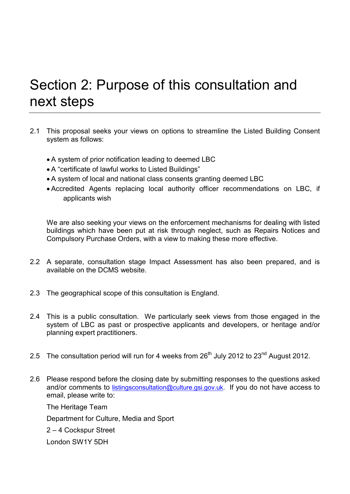### Section 2: Purpose of this consultation and next steps

- 2.1 This proposal seeks your views on options to streamline the Listed Building Consent system as follows:
	- A system of prior notification leading to deemed LBC
	- A "certificate of lawful works to Listed Buildings"
	- A system of local and national class consents granting deemed LBC
	- Accredited Agents replacing local authority officer recommendations on LBC, if applicants wish

We are also seeking your views on the enforcement mechanisms for dealing with listed buildings which have been put at risk through neglect, such as Repairs Notices and Compulsory Purchase Orders, with a view to making these more effective.

- 2.2 A separate, consultation stage Impact Assessment has also been prepared, and is available on the DCMS website.
- 2.3 The geographical scope of this consultation is England.
- 2.4 This is a public consultation. We particularly seek views from those engaged in the system of LBC as past or prospective applicants and developers, or heritage and/or planning expert practitioners.
- 2.5 The consultation period will run for 4 weeks from  $26<sup>th</sup>$  July 2012 to  $23<sup>nd</sup>$  August 2012.
- 2.6 Please respond before the closing date by submitting responses to the questions asked and/or comments to [listingsconsultation@culture.gsi.gov.uk.](mailto:listingsconsultation@culture.gsi.gov.uk) If you do not have access to email, please write to:

The Heritage Team Department for Culture, Media and Sport 2 – 4 Cockspur Street

London SW1Y 5DH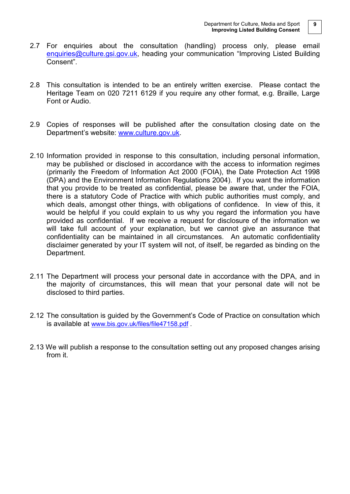- 2.7 For enquiries about the consultation (handling) process only, please email [enquiries@culture.gsi.gov.uk,](mailto:enquiries@culture.gsi.gov.uk) heading your communication "Improving Listed Building Consent".
- 2.8 This consultation is intended to be an entirely written exercise. Please contact the Heritage Team on 020 7211 6129 if you require any other format, e.g. Braille, Large Font or Audio.
- 2.9 Copies of responses will be published after the consultation closing date on the Department's website: [www.culture.gov.uk.](http://www.culture.gov.uk/)
- 2.10 Information provided in response to this consultation, including personal information, may be published or disclosed in accordance with the access to information regimes (primarily the Freedom of Information Act 2000 (FOIA), the Date Protection Act 1998 (DPA) and the Environment Information Regulations 2004). If you want the information that you provide to be treated as confidential, please be aware that, under the FOIA, there is a statutory Code of Practice with which public authorities must comply, and which deals, amongst other things, with obligations of confidence. In view of this, it would be helpful if you could explain to us why you regard the information you have provided as confidential. If we receive a request for disclosure of the information we will take full account of your explanation, but we cannot give an assurance that confidentiality can be maintained in all circumstances. An automatic confidentiality disclaimer generated by your IT system will not, of itself, be regarded as binding on the Department.
- 2.11 The Department will process your personal date in accordance with the DPA, and in the majority of circumstances, this will mean that your personal date will not be disclosed to third parties.
- 2.12 The consultation is guided by the Government's Code of Practice on consultation which is available at [www.bis.gov.uk/files/file47158.pdf](http://www.bis.gov.uk/files/file47158.pdf) .
- 2.13 We will publish a response to the consultation setting out any proposed changes arising from it.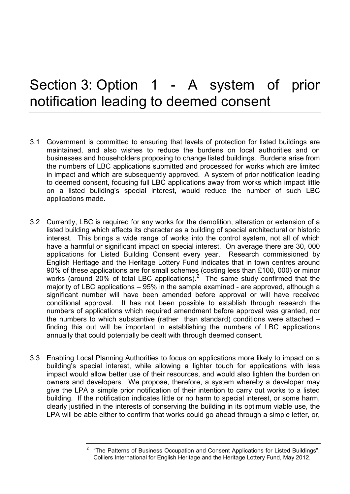### Section 3: Option 1 - A system of prior notification leading to deemed consent

- 3.1 Government is committed to ensuring that levels of protection for listed buildings are maintained, and also wishes to reduce the burdens on local authorities and on businesses and householders proposing to change listed buildings. Burdens arise from the numbers of LBC applications submitted and processed for works which are limited in impact and which are subsequently approved. A system of prior notification leading to deemed consent, focusing full LBC applications away from works which impact little on a listed building's special interest, would reduce the number of such LBC applications made.
- 3.2 Currently, LBC is required for any works for the demolition, alteration or extension of a listed building which affects its character as a building of special architectural or historic interest. This brings a wide range of works into the control system, not all of which have a harmful or significant impact on special interest. On average there are 30, 000 applications for Listed Building Consent every year. Research commissioned by English Heritage and the Heritage Lottery Fund indicates that in town centres around 90% of these applications are for small schemes (costing less than £100, 000) or minor works (around [2](#page-5-0)0% of total LBC applications).<sup>2</sup> The same study confirmed that the majority of LBC applications – 95% in the sample examined - are approved, although a significant number will have been amended before approval or will have received conditional approval. It has not been possible to establish through research the numbers of applications which required amendment before approval was granted, nor the numbers to which substantive (rather than standard) conditions were attached – finding this out will be important in establishing the numbers of LBC applications annually that could potentially be dealt with through deemed consent.
- <span id="page-9-0"></span>3.3 Enabling Local Planning Authorities to focus on applications more likely to impact on a building's special interest, while allowing a lighter touch for applications with less impact would allow better use of their resources, and would also lighten the burden on owners and developers. We propose, therefore, a system whereby a developer may give the LPA a simple prior notification of their intention to carry out works to a listed building. If the notification indicates little or no harm to special interest, or some harm, clearly justified in the interests of conserving the building in its optimum viable use, the LPA will be able either to confirm that works could go ahead through a simple letter, or,

<sup>2</sup> "The Patterns of Business Occupation and Consent Applications for Listed Buildings", Colliers International for English Heritage and the Heritage Lottery Fund, May 2012.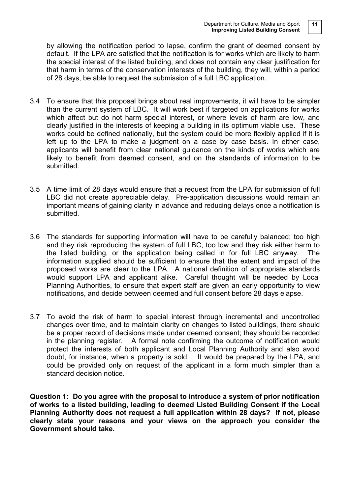by allowing the notification period to lapse, confirm the grant of deemed consent by default. If the LPA are satisfied that the notification is for works which are likely to harm the special interest of the listed building, and does not contain any clear justification for that harm in terms of the conservation interests of the building, they will, within a period of 28 days, be able to request the submission of a full LBC application.

- 3.4 To ensure that this proposal brings about real improvements, it will have to be simpler than the current system of LBC. It will work best if targeted on applications for works which affect but do not harm special interest, or where levels of harm are low, and clearly justified in the interests of keeping a building in its optimum viable use. These works could be defined nationally, but the system could be more flexibly applied if it is left up to the LPA to make a judgment on a case by case basis. In either case, applicants will benefit from clear national guidance on the kinds of works which are likely to benefit from deemed consent, and on the standards of information to be submitted.
- 3.5 A time limit of 28 days would ensure that a request from the LPA for submission of full LBC did not create appreciable delay. Pre-application discussions would remain an important means of gaining clarity in advance and reducing delays once a notification is submitted.
- 3.6 The standards for supporting information will have to be carefully balanced; too high and they risk reproducing the system of full LBC, too low and they risk either harm to the listed building, or the application being called in for full LBC anyway. The information supplied should be sufficient to ensure that the extent and impact of the proposed works are clear to the LPA. A national definition of appropriate standards would support LPA and applicant alike. Careful thought will be needed by Local Planning Authorities, to ensure that expert staff are given an early opportunity to view notifications, and decide between deemed and full consent before 28 days elapse.
- 3.7 To avoid the risk of harm to special interest through incremental and uncontrolled changes over time, and to maintain clarity on changes to listed buildings, there should be a proper record of decisions made under deemed consent; they should be recorded in the planning register. A formal note confirming the outcome of notification would protect the interests of both applicant and Local Planning Authority and also avoid doubt, for instance, when a property is sold. It would be prepared by the LPA, and could be provided only on request of the applicant in a form much simpler than a standard decision notice.

**Question 1: Do you agree with the proposal to introduce a system of prior notification of works to a listed building, leading to deemed Listed Building Consent if the Local Planning Authority does not request a full application within 28 days? If not, please clearly state your reasons and your views on the approach you consider the Government should take.**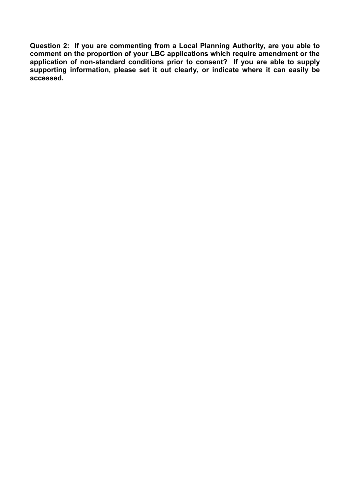**Question 2: If you are commenting from a Local Planning Authority, are you able to comment on the proportion of your LBC applications which require amendment or the application of non-standard conditions prior to consent? If you are able to supply supporting information, please set it out clearly, or indicate where it can easily be accessed.**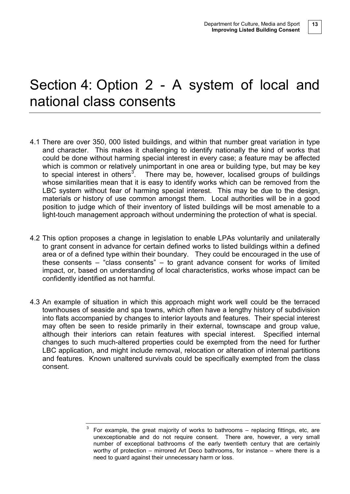### Section 4: Option 2 - A system of local and national class consents

- 4.1 There are over 350, 000 listed buildings, and within that number great variation in type and character. This makes it challenging to identify nationally the kind of works that could be done without harming special interest in every case; a feature may be affected which is common or relatively unimportant in one area or building type, but may be key to special interest in others<sup>[3](#page-9-0)</sup>. There may be, however, localised groups of buildings whose similarities mean that it is easy to identify works which can be removed from the LBC system without fear of harming special interest. This may be due to the design, materials or history of use common amongst them. Local authorities will be in a good position to judge which of their inventory of listed buildings will be most amenable to a light-touch management approach without undermining the protection of what is special.
- 4.2 This option proposes a change in legislation to enable LPAs voluntarily and unilaterally to grant consent in advance for certain defined works to listed buildings within a defined area or of a defined type within their boundary. They could be encouraged in the use of these consents – "class consents" – to grant advance consent for works of limited impact, or, based on understanding of local characteristics, works whose impact can be confidently identified as not harmful.
- 4.3 An example of situation in which this approach might work well could be the terraced townhouses of seaside and spa towns, which often have a lengthy history of subdivision into flats accompanied by changes to interior layouts and features. Their special interest may often be seen to reside primarily in their external, townscape and group value, although their interiors can retain features with special interest. Specified internal changes to such much-altered properties could be exempted from the need for further LBC application, and might include removal, relocation or alteration of internal partitions and features. Known unaltered survivals could be specifically exempted from the class consent.

<span id="page-12-0"></span>For example, the great majority of works to bathrooms – replacing fittings, etc, are unexceptionable and do not require consent. There are, however, a very small number of exceptional bathrooms of the early twentieth century that are certainly worthy of protection – mirrored Art Deco bathrooms, for instance – where there is a need to guard against their unnecessary harm or loss.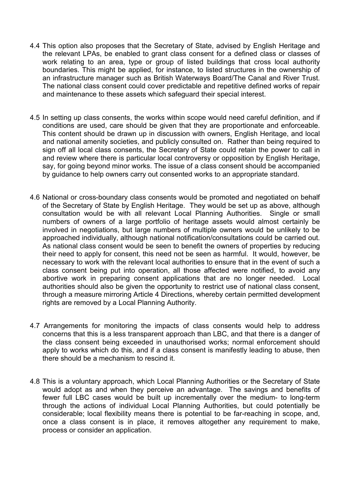- 4.4 This option also proposes that the Secretary of State, advised by English Heritage and the relevant LPAs, be enabled to grant class consent for a defined class or classes of work relating to an area, type or group of listed buildings that cross local authority boundaries. This might be applied, for instance, to listed structures in the ownership of an infrastructure manager such as British Waterways Board/The Canal and River Trust. The national class consent could cover predictable and repetitive defined works of repair and maintenance to these assets which safeguard their special interest.
- 4.5 In setting up class consents, the works within scope would need careful definition, and if conditions are used, care should be given that they are proportionate and enforceable. This content should be drawn up in discussion with owners, English Heritage, and local and national amenity societies, and publicly consulted on. Rather than being required to sign off all local class consents, the Secretary of State could retain the power to call in and review where there is particular local controversy or opposition by English Heritage, say, for going beyond minor works. The issue of a class consent should be accompanied by guidance to help owners carry out consented works to an appropriate standard.
- 4.6 National or cross-boundary class consents would be promoted and negotiated on behalf of the Secretary of State by English Heritage. They would be set up as above, although consultation would be with all relevant Local Planning Authorities. Single or small numbers of owners of a large portfolio of heritage assets would almost certainly be involved in negotiations, but large numbers of multiple owners would be unlikely to be approached individually, although national notification/consultations could be carried out. As national class consent would be seen to benefit the owners of properties by reducing their need to apply for consent, this need not be seen as harmful. It would, however, be necessary to work with the relevant local authorities to ensure that in the event of such a class consent being put into operation, all those affected were notified, to avoid any abortive work in preparing consent applications that are no longer needed. Local authorities should also be given the opportunity to restrict use of national class consent, through a measure mirroring Article 4 Directions, whereby certain permitted development rights are removed by a Local Planning Authority.
- 4.7 Arrangements for monitoring the impacts of class consents would help to address concerns that this is a less transparent approach than LBC, and that there is a danger of the class consent being exceeded in unauthorised works; normal enforcement should apply to works which do this, and if a class consent is manifestly leading to abuse, then there should be a mechanism to rescind it.
- 4.8 This is a voluntary approach, which Local Planning Authorities or the Secretary of State would adopt as and when they perceive an advantage. The savings and benefits of fewer full LBC cases would be built up incrementally over the medium- to long-term through the actions of individual Local Planning Authorities, but could potentially be considerable; local flexibility means there is potential to be far-reaching in scope, and, once a class consent is in place, it removes altogether any requirement to make, process or consider an application.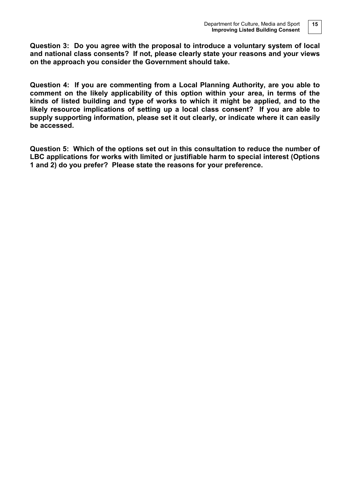**Question 3: Do you agree with the proposal to introduce a voluntary system of local and national class consents? If not, please clearly state your reasons and your views on the approach you consider the Government should take.**

**Question 4: If you are commenting from a Local Planning Authority, are you able to comment on the likely applicability of this option within your area, in terms of the kinds of listed building and type of works to which it might be applied, and to the likely resource implications of setting up a local class consent? If you are able to supply supporting information, please set it out clearly, or indicate where it can easily be accessed.**

**Question 5: Which of the options set out in this consultation to reduce the number of LBC applications for works with limited or justifiable harm to special interest (Options 1 and 2) do you prefer? Please state the reasons for your preference.**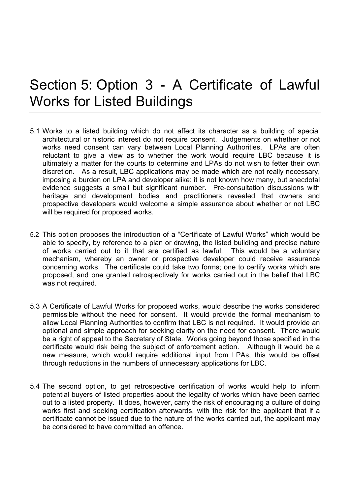### Section 5: Option 3 - A Certificate of Lawful Works for Listed Buildings

- 5.1 Works to a listed building which do not affect its character as a building of special architectural or historic interest do not require consent. Judgements on whether or not works need consent can vary between Local Planning Authorities. LPAs are often reluctant to give a view as to whether the work would require LBC because it is ultimately a matter for the courts to determine and LPAs do not wish to fetter their own discretion. As a result, LBC applications may be made which are not really necessary, imposing a burden on LPA and developer alike: it is not known how many, but anecdotal evidence suggests a small but significant number. Pre-consultation discussions with heritage and development bodies and practitioners revealed that owners and prospective developers would welcome a simple assurance about whether or not LBC will be required for proposed works.
- 5.2 This option proposes the introduction of a "Certificate of Lawful Works" which would be able to specify, by reference to a plan or drawing, the listed building and precise nature of works carried out to it that are certified as lawful. This would be a voluntary mechanism, whereby an owner or prospective developer could receive assurance concerning works. The certificate could take two forms; one to certify works which are proposed, and one granted retrospectively for works carried out in the belief that LBC was not required.
- 5.3 A Certificate of Lawful Works for proposed works, would describe the works considered permissible without the need for consent. It would provide the formal mechanism to allow Local Planning Authorities to confirm that LBC is not required. It would provide an optional and simple approach for seeking clarity on the need for consent. There would be a right of appeal to the Secretary of State. Works going beyond those specified in the certificate would risk being the subject of enforcement action. Although it would be a new measure, which would require additional input from LPAs, this would be offset through reductions in the numbers of unnecessary applications for LBC.
- 5.4 The second option, to get retrospective certification of works would help to inform potential buyers of listed properties about the legality of works which have been carried out to a listed property. It does, however, carry the risk of encouraging a culture of doing works first and seeking certification afterwards, with the risk for the applicant that if a certificate cannot be issued due to the nature of the works carried out, the applicant may be considered to have committed an offence.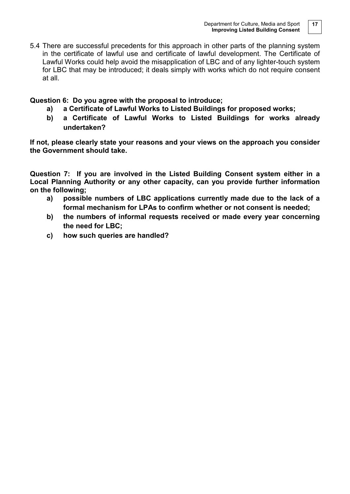5.4 There are successful precedents for this approach in other parts of the planning system in the certificate of lawful use and certificate of lawful development. The Certificate of Lawful Works could help avoid the misapplication of LBC and of any lighter-touch system for LBC that may be introduced; it deals simply with works which do not require consent at all.

**Question 6: Do you agree with the proposal to introduce;** 

- **a) a Certificate of Lawful Works to Listed Buildings for proposed works;**
- **b) a Certificate of Lawful Works to Listed Buildings for works already undertaken?**

**If not, please clearly state your reasons and your views on the approach you consider the Government should take.**

**Question 7: If you are involved in the Listed Building Consent system either in a Local Planning Authority or any other capacity, can you provide further information on the following;**

- **a) possible numbers of LBC applications currently made due to the lack of a formal mechanism for LPAs to confirm whether or not consent is needed;**
- **b) the numbers of informal requests received or made every year concerning the need for LBC;**
- **c) how such queries are handled?**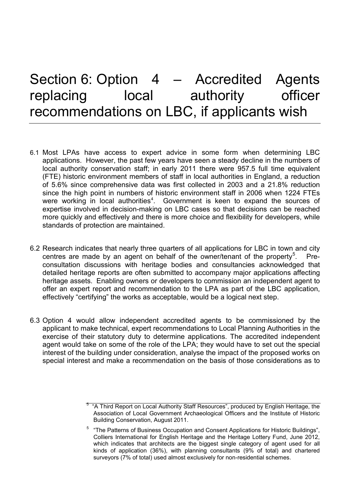### Section 6: Option 4 - Accredited Agents replacing local authority officer recommendations on LBC, if applicants wish

- 6.1 Most LPAs have access to expert advice in some form when determining LBC applications. However, the past few years have seen a steady decline in the numbers of local authority conservation staff; in early 2011 there were 957.5 full time equivalent (FTE) historic environment members of staff in local authorities in England, a reduction of 5.6% since comprehensive data was first collected in 2003 and a 21.8% reduction since the high point in numbers of historic environment staff in 2006 when 1224 FTEs were working in local authorities<sup>[4](#page-12-0)</sup>. Government is keen to expand the sources of expertise involved in decision-making on LBC cases so that decisions can be reached more quickly and effectively and there is more choice and flexibility for developers, while standards of protection are maintained.
- 6.2 Research indicates that nearly three quarters of all applications for LBC in town and city centres are made by an agent on behalf of the owner/tenant of the property<sup>[5](#page-17-0)</sup>. . Preconsultation discussions with heritage bodies and consultancies acknowledged that detailed heritage reports are often submitted to accompany major applications affecting heritage assets. Enabling owners or developers to commission an independent agent to offer an expert report and recommendation to the LPA as part of the LBC application, effectively "certifying" the works as acceptable, would be a logical next step.
- 6.3 Option 4 would allow independent accredited agents to be commissioned by the applicant to make technical, expert recommendations to Local Planning Authorities in the exercise of their statutory duty to determine applications. The accredited independent agent would take on some of the role of the LPA; they would have to set out the special interest of the building under consideration, analyse the impact of the proposed works on special interest and make a recommendation on the basis of those considerations as to

<span id="page-17-0"></span><sup>&</sup>lt;sup>5</sup> "A Third Report on Local Authority Staff Resources", produced by English Heritage, the Association of Local Government Archaeological Officers and the Institute of Historic Building Conservation, August 2011.

<span id="page-17-1"></span><sup>5</sup> "The Patterns of Business Occupation and Consent Applications for Historic Buildings", Colliers International for English Heritage and the Heritage Lottery Fund, June 2012, which indicates that architects are the biggest single category of agent used for all kinds of application (36%), with planning consultants (9% of total) and chartered surveyors (7% of total) used almost exclusively for non-residential schemes.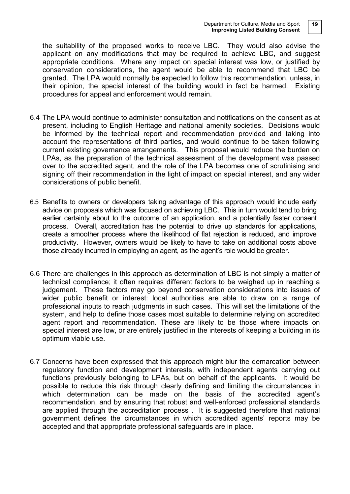the suitability of the proposed works to receive LBC. They would also advise the applicant on any modifications that may be required to achieve LBC, and suggest appropriate conditions. Where any impact on special interest was low, or justified by conservation considerations, the agent would be able to recommend that LBC be granted. The LPA would normally be expected to follow this recommendation, unless, in their opinion, the special interest of the building would in fact be harmed. Existing procedures for appeal and enforcement would remain.

- 6.4 The LPA would continue to administer consultation and notifications on the consent as at present, including to English Heritage and national amenity societies. Decisions would be informed by the technical report and recommendation provided and taking into account the representations of third parties, and would continue to be taken following current existing governance arrangements. This proposal would reduce the burden on LPAs, as the preparation of the technical assessment of the development was passed over to the accredited agent, and the role of the LPA becomes one of scrutinising and signing off their recommendation in the light of impact on special interest, and any wider considerations of public benefit.
- 6.5 Benefits to owners or developers taking advantage of this approach would include early advice on proposals which was focused on achieving LBC. This in turn would tend to bring earlier certainty about to the outcome of an application, and a potentially faster consent process. Overall, accreditation has the potential to drive up standards for applications, create a smoother process where the likelihood of flat rejection is reduced, and improve productivity. However, owners would be likely to have to take on additional costs above those already incurred in employing an agent, as the agent's role would be greater.
- 6.6 There are challenges in this approach as determination of LBC is not simply a matter of technical compliance; it often requires different factors to be weighed up in reaching a judgement. These factors may go beyond conservation considerations into issues of wider public benefit or interest: local authorities are able to draw on a range of professional inputs to reach judgments in such cases. This will set the limitations of the system, and help to define those cases most suitable to determine relying on accredited agent report and recommendation. These are likely to be those where impacts on special interest are low, or are entirely justified in the interests of keeping a building in its optimum viable use.
- 6.7 Concerns have been expressed that this approach might blur the demarcation between regulatory function and development interests, with independent agents carrying out functions previously belonging to LPAs, but on behalf of the applicants. It would be possible to reduce this risk through clearly defining and limiting the circumstances in which determination can be made on the basis of the accredited agent's recommendation, and by ensuring that robust and well-enforced professional standards are applied through the accreditation process . It is suggested therefore that national government defines the circumstances in which accredited agents' reports may be accepted and that appropriate professional safeguards are in place.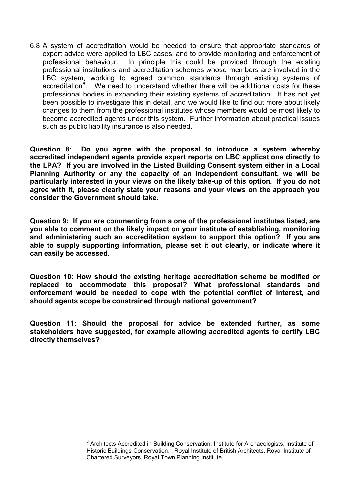6.8 A system of accreditation would be needed to ensure that appropriate standards of expert advice were applied to LBC cases, and to provide monitoring and enforcement of professional behaviour. In principle this could be provided through the existing professional institutions and accreditation schemes whose members are involved in the LBC system, working to agreed common standards through existing systems of accreditation<sup>[6](#page-17-1)</sup>. We need to understand whether there will be additional costs for these professional bodies in expanding their existing systems of accreditation. It has not yet been possible to investigate this in detail, and we would like to find out more about likely changes to them from the professional institutes whose members would be most likely to become accredited agents under this system. Further information about practical issues such as public liability insurance is also needed.

**Question 8: Do you agree with the proposal to introduce a system whereby accredited independent agents provide expert reports on LBC applications directly to the LPA? If you are involved in the Listed Building Consent system either in a Local Planning Authority or any the capacity of an independent consultant, we will be particularly interested in your views on the likely take-up of this option. If you do not agree with it, please clearly state your reasons and your views on the approach you consider the Government should take.**

**Question 9: If you are commenting from a one of the professional institutes listed, are you able to comment on the likely impact on your institute of establishing, monitoring and administering such an accreditation system to support this option? If you are able to supply supporting information, please set it out clearly, or indicate where it can easily be accessed.**

**Question 10: How should the existing heritage accreditation scheme be modified or replaced to accommodate this proposal? What professional standards and enforcement would be needed to cope with the potential conflict of interest, and should agents scope be constrained through national government?**

**Question 11: Should the proposal for advice be extended further, as some stakeholders have suggested, for example allowing accredited agents to certify LBC directly themselves?**

<sup>&</sup>lt;sup>6</sup> Architects Accredited in Building Conservation, Institute for Archaeologists, Institute of Historic Buildings Conservation, , Royal Institute of British Architects, Royal Institute of Chartered Surveyors, Royal Town Planning Institute.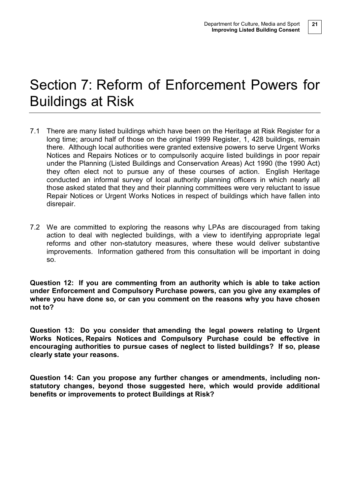### Section 7: Reform of Enforcement Powers for Buildings at Risk

- 7.1 There are many listed buildings which have been on the Heritage at Risk Register for a long time; around half of those on the original 1999 Register, 1, 428 buildings, remain there. Although local authorities were granted extensive powers to serve Urgent Works Notices and Repairs Notices or to compulsorily acquire listed buildings in poor repair under the Planning (Listed Buildings and Conservation Areas) Act 1990 (the 1990 Act) they often elect not to pursue any of these courses of action. English Heritage conducted an informal survey of local authority planning officers in which nearly all those asked stated that they and their planning committees were very reluctant to issue Repair Notices or Urgent Works Notices in respect of buildings which have fallen into disrepair.
- 7.2 We are committed to exploring the reasons why LPAs are discouraged from taking action to deal with neglected buildings, with a view to identifying appropriate legal reforms and other non-statutory measures, where these would deliver substantive improvements. Information gathered from this consultation will be important in doing so.

**Question 12: If you are commenting from an authority which is able to take action under Enforcement and Compulsory Purchase powers, can you give any examples of where you have done so, or can you comment on the reasons why you have chosen not to?**

**Question 13: Do you consider that amending the legal powers relating to Urgent Works Notices, Repairs Notices and Compulsory Purchase could be effective in encouraging authorities to pursue cases of neglect to listed buildings? If so, please clearly state your reasons.** 

**Question 14: Can you propose any further changes or amendments, including nonstatutory changes, beyond those suggested here, which would provide additional benefits or improvements to protect Buildings at Risk?**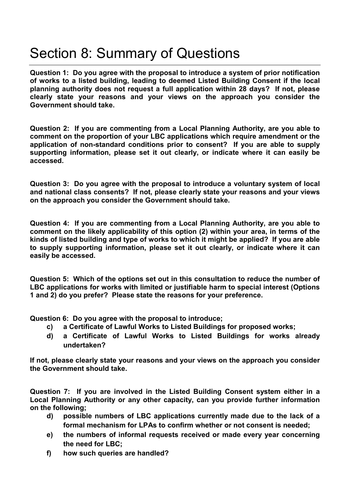### Section 8: Summary of Questions

**Question 1: Do you agree with the proposal to introduce a system of prior notification of works to a listed building, leading to deemed Listed Building Consent if the local planning authority does not request a full application within 28 days? If not, please clearly state your reasons and your views on the approach you consider the Government should take.**

**Question 2: If you are commenting from a Local Planning Authority, are you able to comment on the proportion of your LBC applications which require amendment or the application of non-standard conditions prior to consent? If you are able to supply supporting information, please set it out clearly, or indicate where it can easily be accessed.**

**Question 3: Do you agree with the proposal to introduce a voluntary system of local and national class consents? If not, please clearly state your reasons and your views on the approach you consider the Government should take.**

**Question 4: If you are commenting from a Local Planning Authority, are you able to comment on the likely applicability of this option (2) within your area, in terms of the kinds of listed building and type of works to which it might be applied? If you are able to supply supporting information, please set it out clearly, or indicate where it can easily be accessed.**

**Question 5: Which of the options set out in this consultation to reduce the number of LBC applications for works with limited or justifiable harm to special interest (Options 1 and 2) do you prefer? Please state the reasons for your preference.**

**Question 6: Do you agree with the proposal to introduce;** 

- **c) a Certificate of Lawful Works to Listed Buildings for proposed works;**
- **d) a Certificate of Lawful Works to Listed Buildings for works already undertaken?**

**If not, please clearly state your reasons and your views on the approach you consider the Government should take.**

**Question 7: If you are involved in the Listed Building Consent system either in a Local Planning Authority or any other capacity, can you provide further information on the following;**

- **d) possible numbers of LBC applications currently made due to the lack of a formal mechanism for LPAs to confirm whether or not consent is needed;**
- **e) the numbers of informal requests received or made every year concerning the need for LBC;**
- **f) how such queries are handled?**